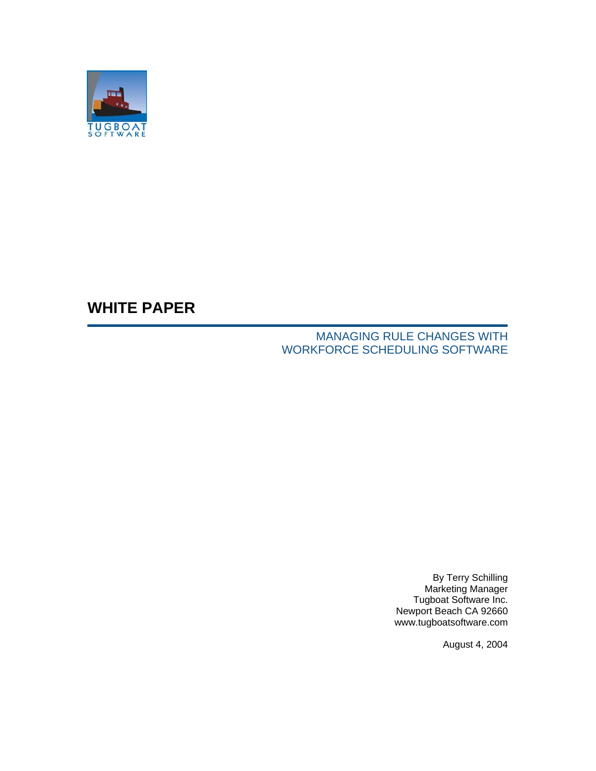

# **WHITE PAPER**

## MANAGING RULE CHANGES WITH WORKFORCE SCHEDULING SOFTWARE

By Terry Schilling Marketing Manager Tugboat Software Inc. Newport Beach CA 92660 www.tugboatsoftware.com

August 4, 2004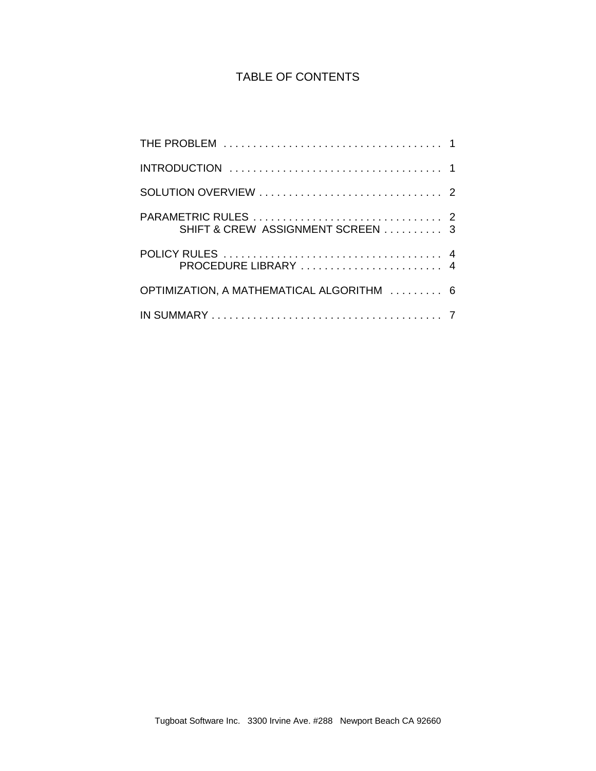## TABLE OF CONTENTS

| SHIFT & CREW ASSIGNMENT SCREEN  3         |  |
|-------------------------------------------|--|
|                                           |  |
| OPTIMIZATION, A MATHEMATICAL ALGORITHM  6 |  |
|                                           |  |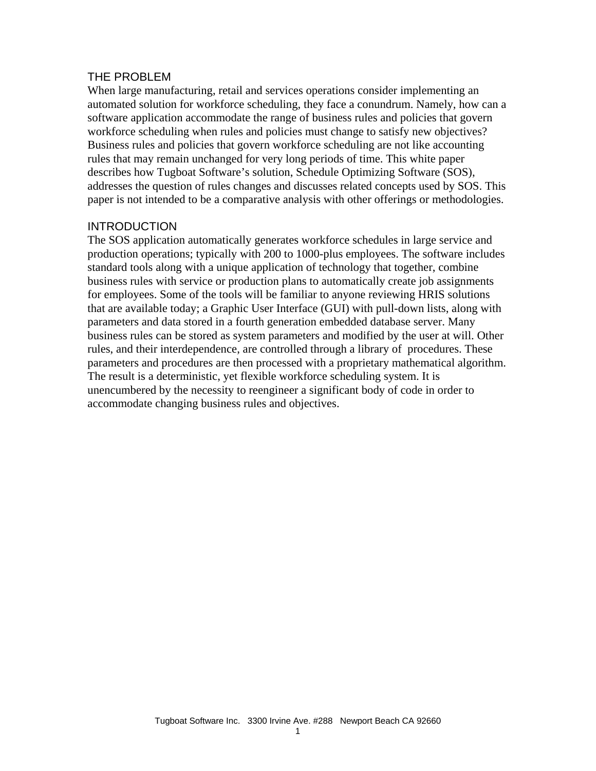#### THE PROBLEM

When large manufacturing, retail and services operations consider implementing an automated solution for workforce scheduling, they face a conundrum. Namely, how can a software application accommodate the range of business rules and policies that govern workforce scheduling when rules and policies must change to satisfy new objectives? Business rules and policies that govern workforce scheduling are not like accounting rules that may remain unchanged for very long periods of time. This white paper describes how Tugboat Software's solution, Schedule Optimizing Software (SOS), addresses the question of rules changes and discusses related concepts used by SOS. This paper is not intended to be a comparative analysis with other offerings or methodologies.

#### INTRODUCTION

The SOS application automatically generates workforce schedules in large service and production operations; typically with 200 to 1000-plus employees. The software includes standard tools along with a unique application of technology that together, combine business rules with service or production plans to automatically create job assignments for employees. Some of the tools will be familiar to anyone reviewing HRIS solutions that are available today; a Graphic User Interface (GUI) with pull-down lists, along with parameters and data stored in a fourth generation embedded database server. Many business rules can be stored as system parameters and modified by the user at will. Other rules, and their interdependence, are controlled through a library of procedures. These parameters and procedures are then processed with a proprietary mathematical algorithm. The result is a deterministic, yet flexible workforce scheduling system. It is unencumbered by the necessity to reengineer a significant body of code in order to accommodate changing business rules and objectives.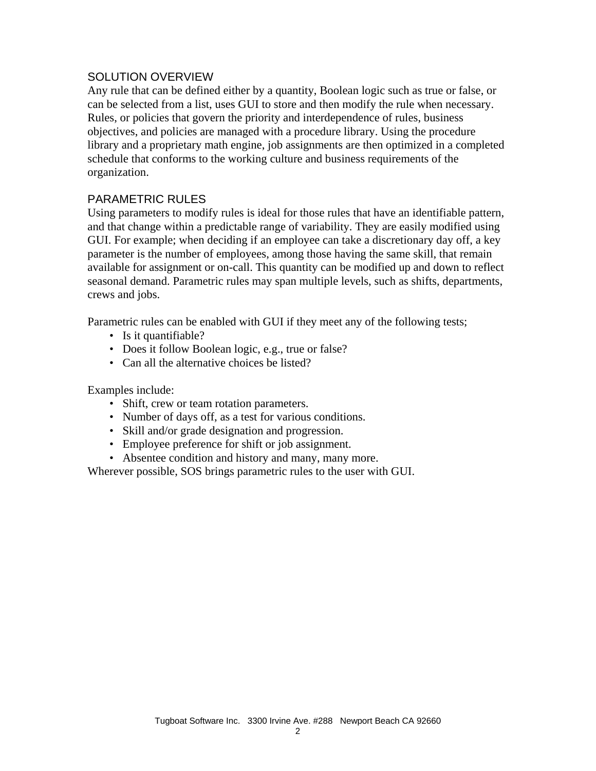#### SOLUTION OVERVIEW

Any rule that can be defined either by a quantity, Boolean logic such as true or false, or can be selected from a list, uses GUI to store and then modify the rule when necessary. Rules, or policies that govern the priority and interdependence of rules, business objectives, and policies are managed with a procedure library. Using the procedure library and a proprietary math engine, job assignments are then optimized in a completed schedule that conforms to the working culture and business requirements of the organization.

## PARAMETRIC RULES

Using parameters to modify rules is ideal for those rules that have an identifiable pattern, and that change within a predictable range of variability. They are easily modified using GUI. For example; when deciding if an employee can take a discretionary day off, a key parameter is the number of employees, among those having the same skill, that remain available for assignment or on-call. This quantity can be modified up and down to reflect seasonal demand. Parametric rules may span multiple levels, such as shifts, departments, crews and jobs.

Parametric rules can be enabled with GUI if they meet any of the following tests;

- Is it quantifiable?
- Does it follow Boolean logic, e.g., true or false?
- Can all the alternative choices be listed?

Examples include:

- Shift, crew or team rotation parameters.
- Number of days off, as a test for various conditions.
- Skill and/or grade designation and progression.
- Employee preference for shift or job assignment.
- Absentee condition and history and many, many more.

Wherever possible, SOS brings parametric rules to the user with GUI.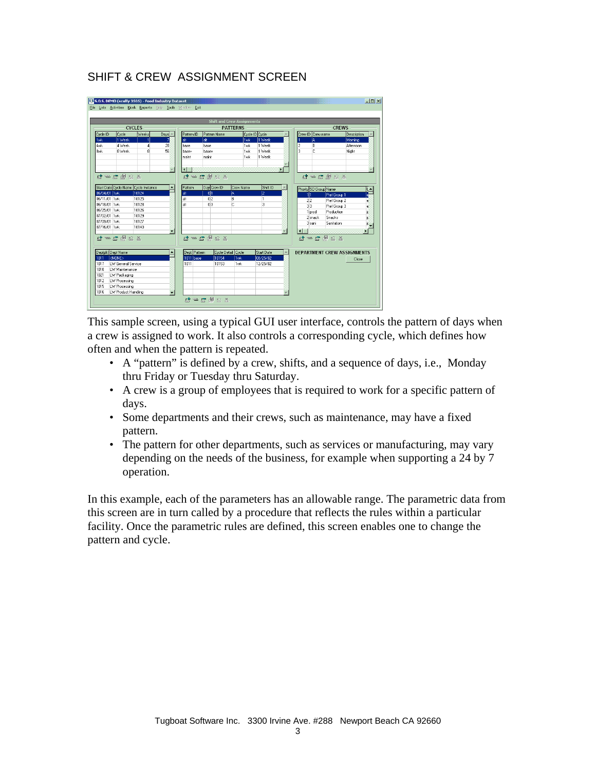## SHIFT & CREW ASSIGNMENT SCREEN

|              |                                |                                      |                             |              |                    | <b>Shift and Crew Assignments</b> |                |   |                                    |             |  |
|--------------|--------------------------------|--------------------------------------|-----------------------------|--------------|--------------------|-----------------------------------|----------------|---|------------------------------------|-------------|--|
|              |                                | <b>CYCLES</b>                        |                             |              | <b>PATTERNS</b>    |                                   |                |   | <b>CREWS</b>                       |             |  |
| Cycle ID     | Cycle                          | Weeks                                | $_{\text{Days}}$ $\text{-}$ | Pattern ID   | Pattern Name       |                                   | Cycle ID Cycle |   | Crew ID Crew name                  | Description |  |
| 1wk          | 1 Week                         | 1                                    |                             | AB.          | læ                 | 1wk                               | 1 Week         |   | İΑ                                 | Morning     |  |
| 4wk          | 4 Week                         | Δ                                    | 28                          | base         | base               | 1wk                               | 1 Week         |   | B                                  | Afternoon   |  |
| <b>Bwk</b>   | 8 Week                         | R                                    | 56                          | base+        | base+              | 1 <sub>wk</sub>                   | 1 Week         |   | C                                  | Night       |  |
|              |                                |                                      |                             | maint        | maint              | 1wk                               | 1 Week         |   |                                    |             |  |
|              |                                |                                      |                             |              |                    |                                   |                |   |                                    |             |  |
|              |                                |                                      |                             | $\lvert$     |                    |                                   |                | Ы |                                    |             |  |
|              | d = d # 2 %                    |                                      |                             |              | <b>라 구 분 분 요 조</b> |                                   |                |   | d = d # 2 %                        |             |  |
|              |                                |                                      |                             |              |                    |                                   |                |   |                                    |             |  |
|              |                                | Start Date Cycle Name Cycle Instance |                             | Pattern      | Day Crew ID        | Crew Name                         | Shift ID       |   | Priority SO Group Name             |             |  |
| 06/04/01 1wk |                                | 10124                                |                             | аř           | 0 <sup>1</sup>     | A                                 | l2             |   | 111<br>Pref Group 1                |             |  |
| 06/11/01 1wk |                                | 10125                                |                             | alt          | 0 <sub>2</sub>     | В                                 | п              |   | 22<br>Pref Group 2                 | e           |  |
| 06/18/01 1wk |                                | 10128                                |                             | alt          | 0 <sup>3</sup>     | c                                 | 3              |   | 33<br>Pref Group 3                 | Ė           |  |
| 06/25/01 1wk |                                | 10126                                |                             |              |                    |                                   |                |   | Production<br>1 prod               |             |  |
| 07/02/01 1wk |                                | 10129                                |                             |              |                    |                                   |                |   | Snacks<br>2 snack                  |             |  |
| 07/09/01 1wk |                                | 10127                                |                             |              |                    |                                   |                |   | Sanitation<br>3 sani               |             |  |
| 07/16/01 1wk |                                | 10140                                |                             |              |                    |                                   |                |   | $\lvert \cdot \rvert$              | ы           |  |
|              |                                |                                      |                             |              |                    |                                   |                |   |                                    |             |  |
|              |                                |                                      |                             |              | id:⇔ Le ∭ 의 조      |                                   |                |   | at me mile x                       |             |  |
|              |                                |                                      |                             |              |                    |                                   |                |   |                                    |             |  |
|              | Dep[pk] Dept Name              |                                      |                             | Dept Pattern |                    | Cycle Detail Cycle                | Start Date     |   | <b>DEPARTMENT CREW ASSIGNMENTS</b> |             |  |
| 1011         | <b>KNONE&gt;</b>               |                                      |                             | 1011 base    | 10154              | 1wk                               | 08/25/02       |   |                                    | Close       |  |
| 1017         | LW General Service             |                                      |                             | 1011         | 10153              | 1wk                               | 12/25/02       |   |                                    |             |  |
| 1018         | LW Maintenance                 |                                      |                             |              |                    |                                   |                |   |                                    |             |  |
| 1021         | LW Packaging                   |                                      |                             |              |                    |                                   |                |   |                                    |             |  |
| 1012         | LW Processing<br>LW Processing |                                      |                             |              |                    |                                   |                |   |                                    |             |  |
| 1015         |                                |                                      |                             |              |                    |                                   |                |   |                                    |             |  |

This sample screen, using a typical GUI user interface, controls the pattern of days when a crew is assigned to work. It also controls a corresponding cycle, which defines how often and when the pattern is repeated.

- A "pattern" is defined by a crew, shifts, and a sequence of days, i.e., Monday thru Friday or Tuesday thru Saturday.
- A crew is a group of employees that is required to work for a specific pattern of days.
- Some departments and their crews, such as maintenance, may have a fixed pattern.
- The pattern for other departments, such as services or manufacturing, may vary depending on the needs of the business, for example when supporting a 24 by 7 operation.

In this example, each of the parameters has an allowable range. The parametric data from this screen are in turn called by a procedure that reflects the rules within a particular facility. Once the parametric rules are defined, this screen enables one to change the pattern and cycle.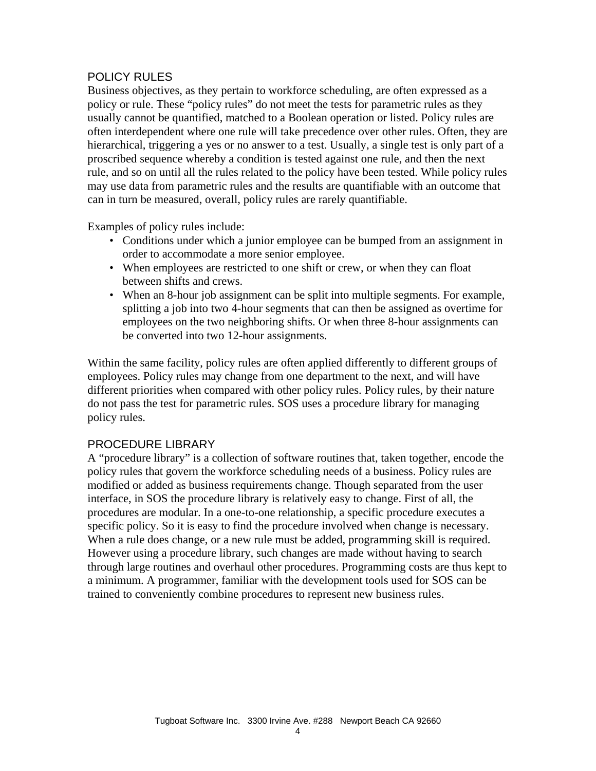## POLICY RULES

Business objectives, as they pertain to workforce scheduling, are often expressed as a policy or rule. These "policy rules" do not meet the tests for parametric rules as they usually cannot be quantified, matched to a Boolean operation or listed. Policy rules are often interdependent where one rule will take precedence over other rules. Often, they are hierarchical, triggering a yes or no answer to a test. Usually, a single test is only part of a proscribed sequence whereby a condition is tested against one rule, and then the next rule, and so on until all the rules related to the policy have been tested. While policy rules may use data from parametric rules and the results are quantifiable with an outcome that can in turn be measured, overall, policy rules are rarely quantifiable.

Examples of policy rules include:

- Conditions under which a junior employee can be bumped from an assignment in order to accommodate a more senior employee.
- When employees are restricted to one shift or crew, or when they can float between shifts and crews.
- When an 8-hour job assignment can be split into multiple segments. For example, splitting a job into two 4-hour segments that can then be assigned as overtime for employees on the two neighboring shifts. Or when three 8-hour assignments can be converted into two 12-hour assignments.

Within the same facility, policy rules are often applied differently to different groups of employees. Policy rules may change from one department to the next, and will have different priorities when compared with other policy rules. Policy rules, by their nature do not pass the test for parametric rules. SOS uses a procedure library for managing policy rules.

## PROCEDURE LIBRARY

A "procedure library" is a collection of software routines that, taken together, encode the policy rules that govern the workforce scheduling needs of a business. Policy rules are modified or added as business requirements change. Though separated from the user interface, in SOS the procedure library is relatively easy to change. First of all, the procedures are modular. In a one-to-one relationship, a specific procedure executes a specific policy. So it is easy to find the procedure involved when change is necessary. When a rule does change, or a new rule must be added, programming skill is required. However using a procedure library, such changes are made without having to search through large routines and overhaul other procedures. Programming costs are thus kept to a minimum. A programmer, familiar with the development tools used for SOS can be trained to conveniently combine procedures to represent new business rules.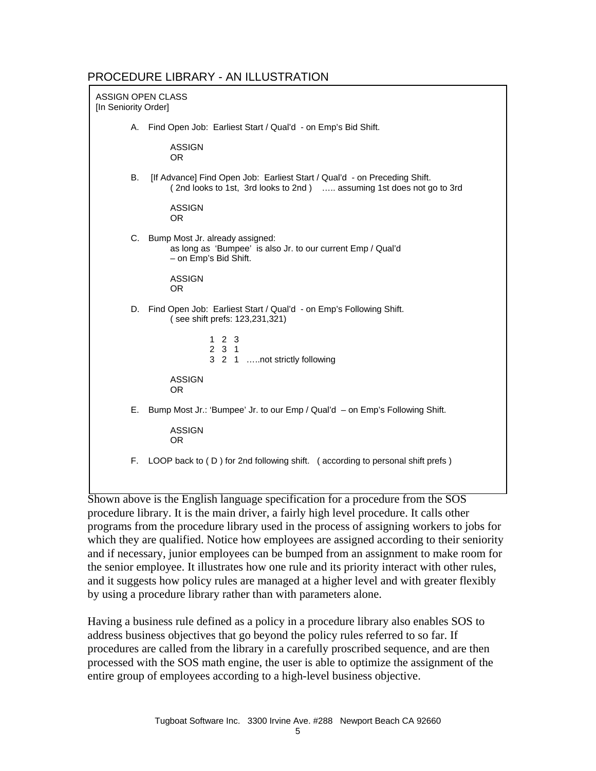#### PROCEDURE LIBRARY - AN ILLUSTRATION

| ASSIGN OPEN CLASS<br>[In Seniority Order] |                                                                                                                                                    |
|-------------------------------------------|----------------------------------------------------------------------------------------------------------------------------------------------------|
| А.                                        | Find Open Job: Earliest Start / Qual'd - on Emp's Bid Shift.                                                                                       |
|                                           | <b>ASSIGN</b><br>OR.                                                                                                                               |
| В.                                        | [If Advance] Find Open Job: Earliest Start / Qual'd - on Preceding Shift.<br>(2nd looks to 1st, 3rd looks to 2nd)  assuming 1st does not go to 3rd |
|                                           | <b>ASSIGN</b><br>OR.                                                                                                                               |
| C.                                        | Bump Most Jr. already assigned:<br>as long as 'Bumpee' is also Jr. to our current Emp / Qual'd<br>- on Emp's Bid Shift.                            |
|                                           | <b>ASSIGN</b><br>OR.                                                                                                                               |
|                                           | D. Find Open Job: Earliest Start / Qual'd - on Emp's Following Shift.<br>(see shift prefs: 123,231,321)                                            |
|                                           | $1\quad2\quad3$<br>231<br>3 2 1 not strictly following                                                                                             |
|                                           | <b>ASSIGN</b><br><b>OR</b>                                                                                                                         |
| Е.                                        | Bump Most Jr.: 'Bumpee' Jr. to our Emp / Qual'd - on Emp's Following Shift.                                                                        |
|                                           | <b>ASSIGN</b><br><b>OR</b>                                                                                                                         |
| F.                                        | LOOP back to (D) for 2nd following shift. (according to personal shift prefs)                                                                      |
|                                           |                                                                                                                                                    |

Shown above is the English language specification for a procedure from the SOS procedure library. It is the main driver, a fairly high level procedure. It calls other programs from the procedure library used in the process of assigning workers to jobs for which they are qualified. Notice how employees are assigned according to their seniority and if necessary, junior employees can be bumped from an assignment to make room for the senior employee. It illustrates how one rule and its priority interact with other rules, and it suggests how policy rules are managed at a higher level and with greater flexibly by using a procedure library rather than with parameters alone.

Having a business rule defined as a policy in a procedure library also enables SOS to address business objectives that go beyond the policy rules referred to so far. If procedures are called from the library in a carefully proscribed sequence, and are then processed with the SOS math engine, the user is able to optimize the assignment of the entire group of employees according to a high-level business objective.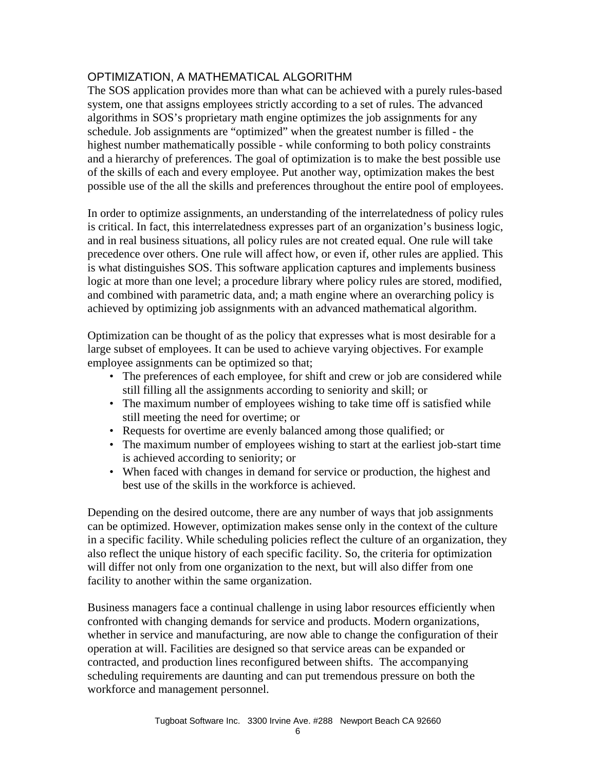## OPTIMIZATION, A MATHEMATICAL ALGORITHM

The SOS application provides more than what can be achieved with a purely rules-based system, one that assigns employees strictly according to a set of rules. The advanced algorithms in SOS's proprietary math engine optimizes the job assignments for any schedule. Job assignments are "optimized" when the greatest number is filled - the highest number mathematically possible - while conforming to both policy constraints and a hierarchy of preferences. The goal of optimization is to make the best possible use of the skills of each and every employee. Put another way, optimization makes the best possible use of the all the skills and preferences throughout the entire pool of employees.

In order to optimize assignments, an understanding of the interrelatedness of policy rules is critical. In fact, this interrelatedness expresses part of an organization's business logic, and in real business situations, all policy rules are not created equal. One rule will take precedence over others. One rule will affect how, or even if, other rules are applied. This is what distinguishes SOS. This software application captures and implements business logic at more than one level; a procedure library where policy rules are stored, modified, and combined with parametric data, and; a math engine where an overarching policy is achieved by optimizing job assignments with an advanced mathematical algorithm.

Optimization can be thought of as the policy that expresses what is most desirable for a large subset of employees. It can be used to achieve varying objectives. For example employee assignments can be optimized so that;

- The preferences of each employee, for shift and crew or job are considered while still filling all the assignments according to seniority and skill; or
- The maximum number of employees wishing to take time off is satisfied while still meeting the need for overtime; or
- Requests for overtime are evenly balanced among those qualified; or
- The maximum number of employees wishing to start at the earliest job-start time is achieved according to seniority; or
- When faced with changes in demand for service or production, the highest and best use of the skills in the workforce is achieved.

Depending on the desired outcome, there are any number of ways that job assignments can be optimized. However, optimization makes sense only in the context of the culture in a specific facility. While scheduling policies reflect the culture of an organization, they also reflect the unique history of each specific facility. So, the criteria for optimization will differ not only from one organization to the next, but will also differ from one facility to another within the same organization.

Business managers face a continual challenge in using labor resources efficiently when confronted with changing demands for service and products. Modern organizations, whether in service and manufacturing, are now able to change the configuration of their operation at will. Facilities are designed so that service areas can be expanded or contracted, and production lines reconfigured between shifts. The accompanying scheduling requirements are daunting and can put tremendous pressure on both the workforce and management personnel.